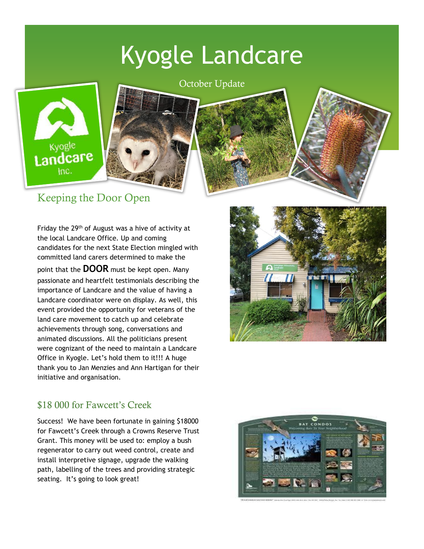# Kyogle Landcare







#### Keeping the Door Open

Friday the 29<sup>th</sup> of August was a hive of activity at the local Landcare Office. Up and coming candidates for the next State Election mingled with committed land carers determined to make the point that the **DOOR** must be kept open. Many passionate and heartfelt testimonials describing the importance of Landcare and the value of having a Landcare coordinator were on display. As well, this event provided the opportunity for veterans of the land care movement to catch up and celebrate achievements through song, conversations and animated discussions. All the politicians present were cognizant of the need to maintain a Landcare Office in Kyogle. Let's hold them to it!!! A huge thank you to Jan Menzies and Ann Hartigan for their initiative and organisation.



#### \$18 000 for Fawcett's Creek

Success! We have been fortunate in gaining \$18000 for Fawcett's Creek through a Crowns Reserve Trust Grant. This money will be used to: employ a bush regenerator to carry out weed control, create and install interpretive signage, upgrade the walking path, labelling of the trees and providing strategic seating. It's going to look great!

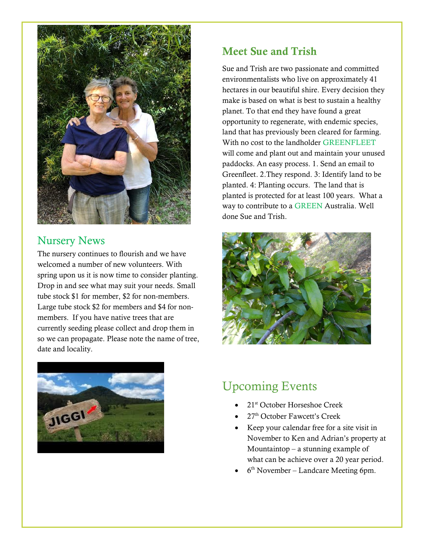

#### Nursery News

The nursery continues to flourish and we have welcomed a number of new volunteers. With spring upon us it is now time to consider planting. Drop in and see what may suit your needs. Small tube stock \$1 for member, \$2 for non-members. Large tube stock \$2 for members and \$4 for nonmembers. If you have native trees that are currently seeding please collect and drop them in so we can propagate. Please note the name of tree, date and locality.



#### Meet Sue and Trish

Sue and Trish are two passionate and committed environmentalists who live on approximately 41 hectares in our beautiful shire. Every decision they make is based on what is best to sustain a healthy planet. To that end they have found a great opportunity to regenerate, with endemic species, land that has previously been cleared for farming. With no cost to the landholder GREENFLEET will come and plant out and maintain your unused paddocks. An easy process. 1. Send an email to Greenfleet. 2.They respond. 3: Identify land to be planted. 4: Planting occurs. The land that is planted is protected for at least 100 years. What a way to contribute to a GREEN Australia. Well done Sue and Trish.



### Upcoming Events

- 21<sup>st</sup> October Horseshoe Creek
- 27<sup>th</sup> October Fawcett's Creek
- Keep your calendar free for a site visit in November to Ken and Adrian's property at Mountaintop – a stunning example of what can be achieve over a 20 year period.
- $\bullet$  6<sup>th</sup> November Landcare Meeting 6pm.